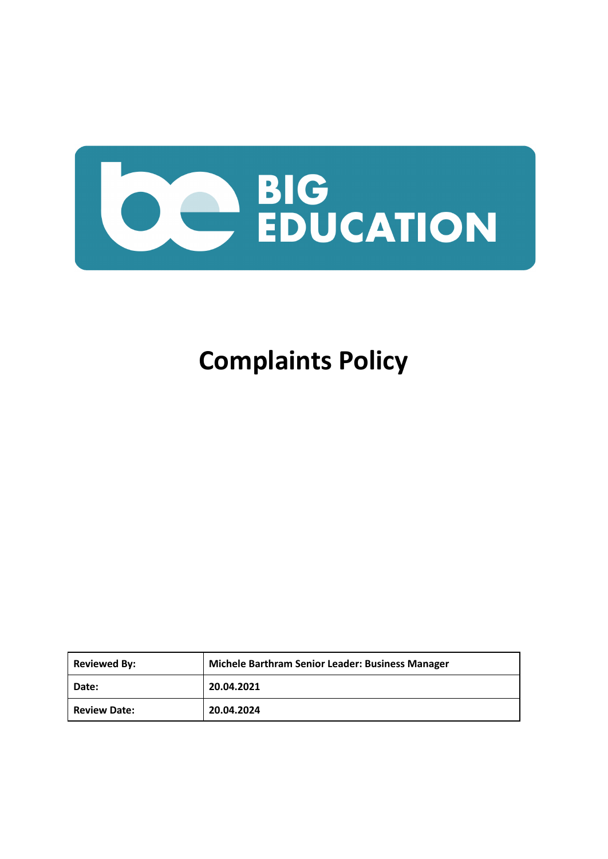

# **Complaints Policy**

| <b>Reviewed By:</b> | Michele Barthram Senior Leader: Business Manager |
|---------------------|--------------------------------------------------|
| Date:               | 20.04.2021                                       |
| <b>Review Date:</b> | 20.04.2024                                       |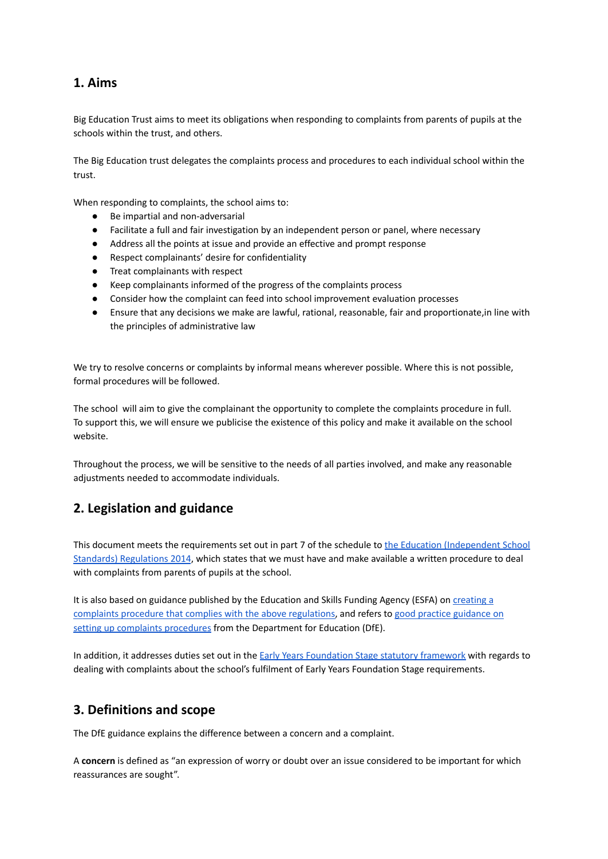## **1. Aims**

Big Education Trust aims to meet its obligations when responding to complaints from parents of pupils at the schools within the trust, and others.

The Big Education trust delegates the complaints process and procedures to each individual school within the trust.

When responding to complaints, the school aims to:

- Be impartial and non-adversarial
- Facilitate a full and fair investigation by an independent person or panel, where necessary
- Address all the points at issue and provide an effective and prompt response
- Respect complainants' desire for confidentiality
- Treat complainants with respect
- Keep complainants informed of the progress of the complaints process
- Consider how the complaint can feed into school improvement evaluation processes
- Ensure that any decisions we make are lawful, rational, reasonable, fair and proportionate,in line with the principles of administrative law

We try to resolve concerns or complaints by informal means wherever possible. Where this is not possible, formal procedures will be followed.

The school will aim to give the complainant the opportunity to complete the complaints procedure in full. To support this, we will ensure we publicise the existence of this policy and make it available on the school website.

Throughout the process, we will be sensitive to the needs of all parties involved, and make any reasonable adjustments needed to accommodate individuals.

## **2. Legislation and guidance**

This document meets the requirements set out in part 7 of the schedule to the Education [\(Independent](http://www.legislation.gov.uk/uksi/2014/3283/schedule/made) School Standards) [Regulations](http://www.legislation.gov.uk/uksi/2014/3283/schedule/made) 2014, which states that we must have and make available a written procedure to deal with complaints from parents of pupils at the school.

It is also based on guidance published by the Education and Skills Funding Agency (ESFA) on [creating](https://www.gov.uk/government/publications/setting-up-an-academies-complaints-procedure) a complaints procedure that complies with the above [regulations,](https://www.gov.uk/government/publications/setting-up-an-academies-complaints-procedure) and refers to good practice [guidance](https://www.gov.uk/government/publications/school-complaints-procedures) on setting up complaints [procedures](https://www.gov.uk/government/publications/school-complaints-procedures) from the Department for Education (DfE).

In addition, it addresses duties set out in the Early Years [Foundation](https://www.gov.uk/government/uploads/system/uploads/attachment_data/file/596629/EYFS_STATUTORY_FRAMEWORK_2017.pdf) Stage statutory framework with regards to dealing with complaints about the school's fulfilment of Early Years Foundation Stage requirements.

## **3. Definitions and scope**

The DfE guidance explains the difference between a concern and a complaint.

A **concern** is defined as "an expression of worry or doubt over an issue considered to be important for which reassurances are sought".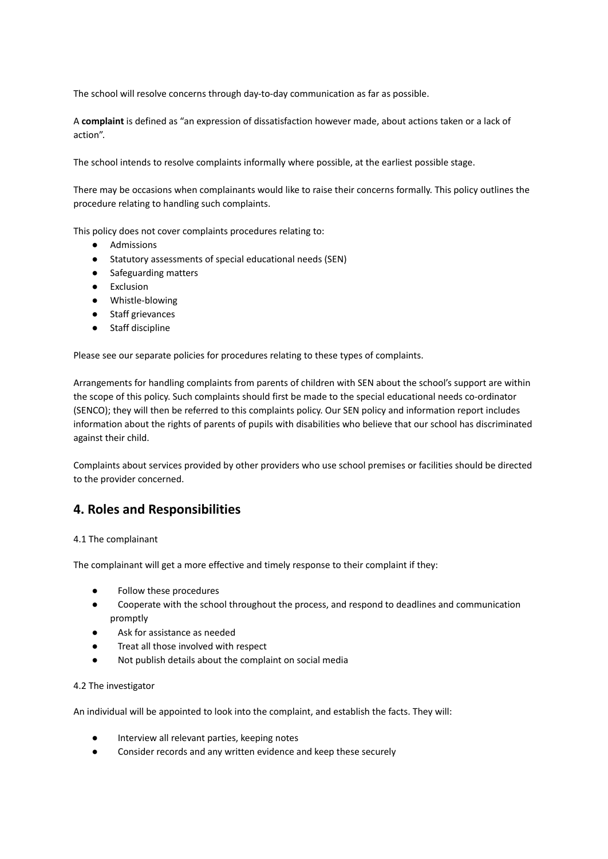The school will resolve concerns through day-to-day communication as far as possible.

A **complaint** is defined as "an expression of dissatisfaction however made, about actions taken or a lack of action".

The school intends to resolve complaints informally where possible, at the earliest possible stage.

There may be occasions when complainants would like to raise their concerns formally. This policy outlines the procedure relating to handling such complaints.

This policy does not cover complaints procedures relating to:

- Admissions
- Statutory assessments of special educational needs (SEN)
- Safeguarding matters
- Exclusion
- Whistle-blowing
- Staff grievances
- Staff discipline

Please see our separate policies for procedures relating to these types of complaints.

Arrangements for handling complaints from parents of children with SEN about the school's support are within the scope of this policy. Such complaints should first be made to the special educational needs co-ordinator (SENCO); they will then be referred to this complaints policy. Our SEN policy and information report includes information about the rights of parents of pupils with disabilities who believe that our school has discriminated against their child.

Complaints about services provided by other providers who use school premises or facilities should be directed to the provider concerned.

## **4. Roles and Responsibilities**

#### 4.1 The complainant

The complainant will get a more effective and timely response to their complaint if they:

- Follow these procedures
- Cooperate with the school throughout the process, and respond to deadlines and communication promptly
- Ask for assistance as needed
- Treat all those involved with respect
- Not publish details about the complaint on social media

#### 4.2 The investigator

An individual will be appointed to look into the complaint, and establish the facts. They will:

- Interview all relevant parties, keeping notes
- Consider records and any written evidence and keep these securely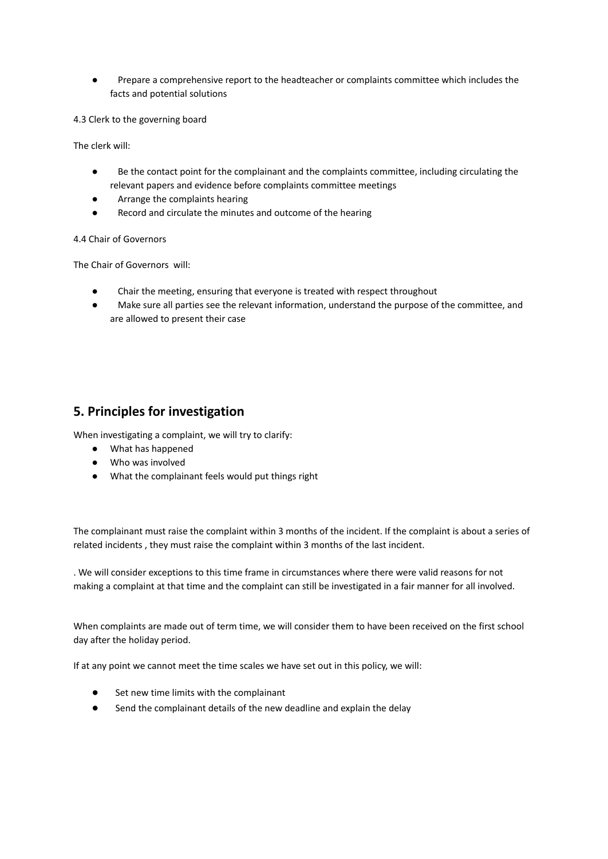● Prepare a comprehensive report to the headteacher or complaints committee which includes the facts and potential solutions

4.3 Clerk to the governing board

The clerk will:

- Be the contact point for the complainant and the complaints committee, including circulating the relevant papers and evidence before complaints committee meetings
- Arrange the complaints hearing
- Record and circulate the minutes and outcome of the hearing

4.4 Chair of Governors

The Chair of Governors will:

- Chair the meeting, ensuring that everyone is treated with respect throughout
- Make sure all parties see the relevant information, understand the purpose of the committee, and are allowed to present their case

## **5. Principles for investigation**

When investigating a complaint, we will try to clarify:

- What has happened
- Who was involved
- What the complainant feels would put things right

The complainant must raise the complaint within 3 months of the incident. If the complaint is about a series of related incidents , they must raise the complaint within 3 months of the last incident.

. We will consider exceptions to this time frame in circumstances where there were valid reasons for not making a complaint at that time and the complaint can still be investigated in a fair manner for all involved.

When complaints are made out of term time, we will consider them to have been received on the first school day after the holiday period.

If at any point we cannot meet the time scales we have set out in this policy, we will:

- Set new time limits with the complainant
- Send the complainant details of the new deadline and explain the delay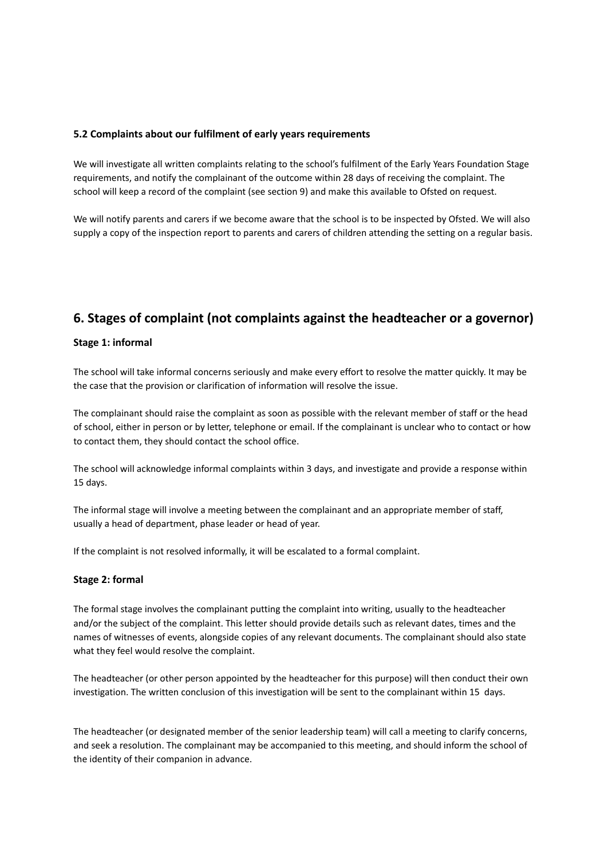### **5.2 Complaints about our fulfilment of early years requirements**

We will investigate all written complaints relating to the school's fulfilment of the Early Years Foundation Stage requirements, and notify the complainant of the outcome within 28 days of receiving the complaint. The school will keep a record of the complaint (see section 9) and make this available to Ofsted on request.

We will notify parents and carers if we become aware that the school is to be inspected by Ofsted. We will also supply a copy of the inspection report to parents and carers of children attending the setting on a regular basis.

## **6. Stages of complaint (not complaints against the headteacher or a governor)**

### **Stage 1: informal**

The school will take informal concerns seriously and make every effort to resolve the matter quickly. It may be the case that the provision or clarification of information will resolve the issue.

The complainant should raise the complaint as soon as possible with the relevant member of staff or the head of school, either in person or by letter, telephone or email. If the complainant is unclear who to contact or how to contact them, they should contact the school office.

The school will acknowledge informal complaints within 3 days, and investigate and provide a response within 15 days.

The informal stage will involve a meeting between the complainant and an appropriate member of staff, usually a head of department, phase leader or head of year.

If the complaint is not resolved informally, it will be escalated to a formal complaint.

### **Stage 2: formal**

The formal stage involves the complainant putting the complaint into writing, usually to the headteacher and/or the subject of the complaint. This letter should provide details such as relevant dates, times and the names of witnesses of events, alongside copies of any relevant documents. The complainant should also state what they feel would resolve the complaint.

The headteacher (or other person appointed by the headteacher for this purpose) will then conduct their own investigation. The written conclusion of this investigation will be sent to the complainant within 15 days.

The headteacher (or designated member of the senior leadership team) will call a meeting to clarify concerns, and seek a resolution. The complainant may be accompanied to this meeting, and should inform the school of the identity of their companion in advance.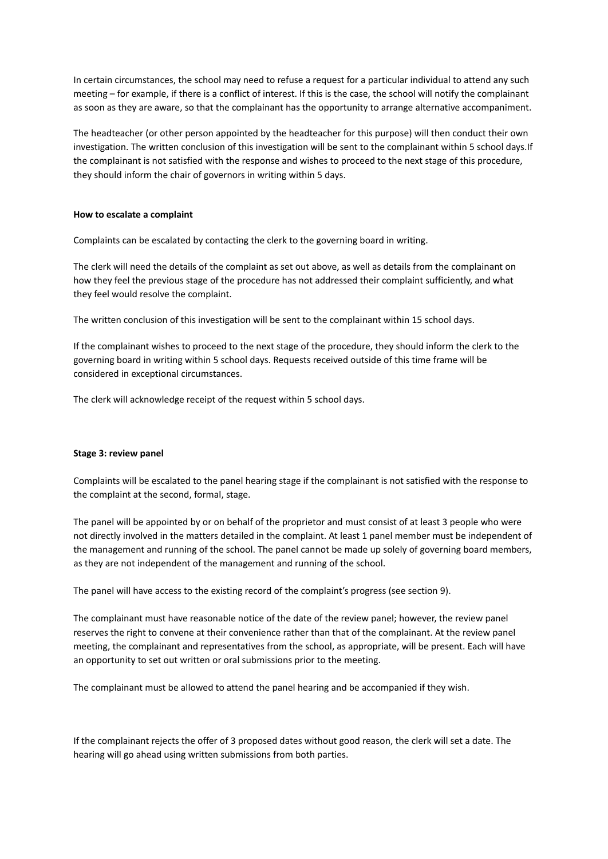In certain circumstances, the school may need to refuse a request for a particular individual to attend any such meeting – for example, if there is a conflict of interest. If this is the case, the school will notify the complainant as soon as they are aware, so that the complainant has the opportunity to arrange alternative accompaniment.

The headteacher (or other person appointed by the headteacher for this purpose) will then conduct their own investigation. The written conclusion of this investigation will be sent to the complainant within 5 school days.If the complainant is not satisfied with the response and wishes to proceed to the next stage of this procedure, they should inform the chair of governors in writing within 5 days.

#### **How to escalate a complaint**

Complaints can be escalated by contacting the clerk to the governing board in writing.

The clerk will need the details of the complaint as set out above, as well as details from the complainant on how they feel the previous stage of the procedure has not addressed their complaint sufficiently, and what they feel would resolve the complaint.

The written conclusion of this investigation will be sent to the complainant within 15 school days.

If the complainant wishes to proceed to the next stage of the procedure, they should inform the clerk to the governing board in writing within 5 school days. Requests received outside of this time frame will be considered in exceptional circumstances.

The clerk will acknowledge receipt of the request within 5 school days.

#### **Stage 3: review panel**

Complaints will be escalated to the panel hearing stage if the complainant is not satisfied with the response to the complaint at the second, formal, stage.

The panel will be appointed by or on behalf of the proprietor and must consist of at least 3 people who were not directly involved in the matters detailed in the complaint. At least 1 panel member must be independent of the management and running of the school. The panel cannot be made up solely of governing board members, as they are not independent of the management and running of the school.

The panel will have access to the existing record of the complaint's progress (see section 9).

The complainant must have reasonable notice of the date of the review panel; however, the review panel reserves the right to convene at their convenience rather than that of the complainant. At the review panel meeting, the complainant and representatives from the school, as appropriate, will be present. Each will have an opportunity to set out written or oral submissions prior to the meeting.

The complainant must be allowed to attend the panel hearing and be accompanied if they wish.

If the complainant rejects the offer of 3 proposed dates without good reason, the clerk will set a date. The hearing will go ahead using written submissions from both parties.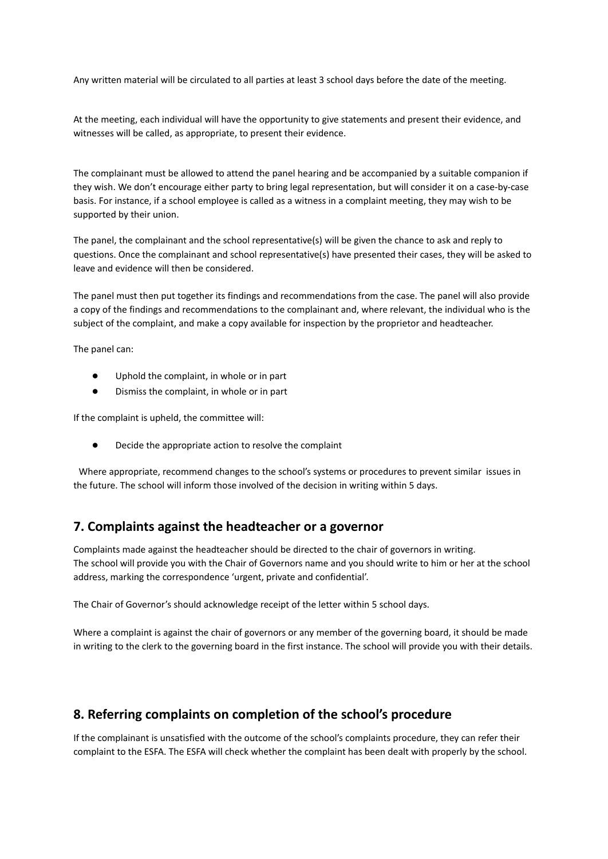Any written material will be circulated to all parties at least 3 school days before the date of the meeting.

At the meeting, each individual will have the opportunity to give statements and present their evidence, and witnesses will be called, as appropriate, to present their evidence.

The complainant must be allowed to attend the panel hearing and be accompanied by a suitable companion if they wish. We don't encourage either party to bring legal representation, but will consider it on a case-by-case basis. For instance, if a school employee is called as a witness in a complaint meeting, they may wish to be supported by their union.

The panel, the complainant and the school representative(s) will be given the chance to ask and reply to questions. Once the complainant and school representative(s) have presented their cases, they will be asked to leave and evidence will then be considered.

The panel must then put together its findings and recommendations from the case. The panel will also provide a copy of the findings and recommendations to the complainant and, where relevant, the individual who is the subject of the complaint, and make a copy available for inspection by the proprietor and headteacher.

The panel can:

- Uphold the complaint, in whole or in part
- Dismiss the complaint, in whole or in part

If the complaint is upheld, the committee will:

● Decide the appropriate action to resolve the complaint

Where appropriate, recommend changes to the school's systems or procedures to prevent similar issues in the future. The school will inform those involved of the decision in writing within 5 days.

## **7. Complaints against the headteacher or a governor**

Complaints made against the headteacher should be directed to the chair of governors in writing. The school will provide you with the Chair of Governors name and you should write to him or her at the school address, marking the correspondence 'urgent, private and confidential'.

The Chair of Governor's should acknowledge receipt of the letter within 5 school days.

Where a complaint is against the chair of governors or any member of the governing board, it should be made in writing to the clerk to the governing board in the first instance. The school will provide you with their details.

## **8. Referring complaints on completion of the school's procedure**

If the complainant is unsatisfied with the outcome of the school's complaints procedure, they can refer their complaint to the ESFA. The ESFA will check whether the complaint has been dealt with properly by the school.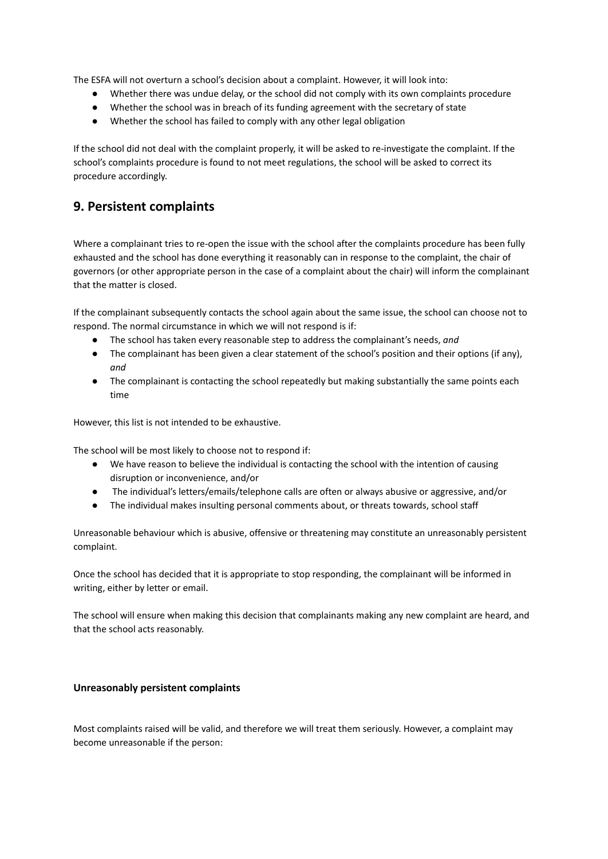The ESFA will not overturn a school's decision about a complaint. However, it will look into:

- Whether there was undue delay, or the school did not comply with its own complaints procedure
- Whether the school was in breach of its funding agreement with the secretary of state
- Whether the school has failed to comply with any other legal obligation

If the school did not deal with the complaint properly, it will be asked to re-investigate the complaint. If the school's complaints procedure is found to not meet regulations, the school will be asked to correct its procedure accordingly.

## **9. Persistent complaints**

Where a complainant tries to re-open the issue with the school after the complaints procedure has been fully exhausted and the school has done everything it reasonably can in response to the complaint, the chair of governors (or other appropriate person in the case of a complaint about the chair) will inform the complainant that the matter is closed.

If the complainant subsequently contacts the school again about the same issue, the school can choose not to respond. The normal circumstance in which we will not respond is if:

- The school has taken every reasonable step to address the complainant's needs, *and*
- The complainant has been given a clear statement of the school's position and their options (if any), *and*
- The complainant is contacting the school repeatedly but making substantially the same points each time

However, this list is not intended to be exhaustive.

The school will be most likely to choose not to respond if:

- We have reason to believe the individual is contacting the school with the intention of causing disruption or inconvenience, and/or
- The individual's letters/emails/telephone calls are often or always abusive or aggressive, and/or
- The individual makes insulting personal comments about, or threats towards, school staff

Unreasonable behaviour which is abusive, offensive or threatening may constitute an unreasonably persistent complaint.

Once the school has decided that it is appropriate to stop responding, the complainant will be informed in writing, either by letter or email.

The school will ensure when making this decision that complainants making any new complaint are heard, and that the school acts reasonably.

#### **Unreasonably persistent complaints**

Most complaints raised will be valid, and therefore we will treat them seriously. However, a complaint may become unreasonable if the person: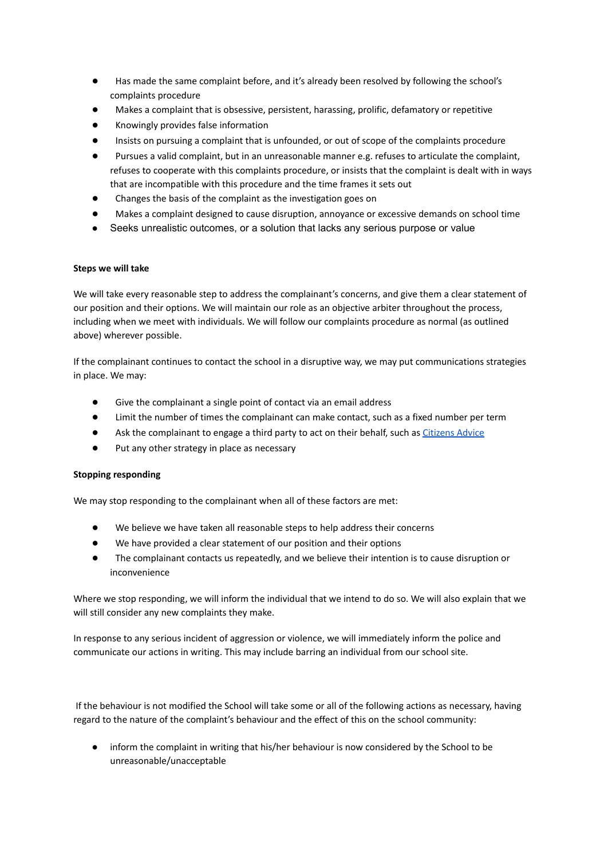- Has made the same complaint before, and it's already been resolved by following the school's complaints procedure
- Makes a complaint that is obsessive, persistent, harassing, prolific, defamatory or repetitive
- Knowingly provides false information
- Insists on pursuing a complaint that is unfounded, or out of scope of the complaints procedure
- Pursues a valid complaint, but in an unreasonable manner e.g. refuses to articulate the complaint, refuses to cooperate with this complaints procedure, or insists that the complaint is dealt with in ways that are incompatible with this procedure and the time frames it sets out
- Changes the basis of the complaint as the investigation goes on
- Makes a complaint designed to cause disruption, annoyance or excessive demands on school time
- Seeks unrealistic outcomes, or a solution that lacks any serious purpose or value

#### **Steps we will take**

We will take every reasonable step to address the complainant's concerns, and give them a clear statement of our position and their options. We will maintain our role as an objective arbiter throughout the process, including when we meet with individuals. We will follow our complaints procedure as normal (as outlined above) wherever possible.

If the complainant continues to contact the school in a disruptive way, we may put communications strategies in place. We may:

- Give the complainant a single point of contact via an email address
- Limit the number of times the complainant can make contact, such as a fixed number per term
- Ask the complainant to engage a third party to act on their behalf, such as [Citizens](https://www.citizensadvice.org.uk/) Advice
- Put any other strategy in place as necessary

#### **Stopping responding**

We may stop responding to the complainant when all of these factors are met:

- We believe we have taken all reasonable steps to help address their concerns
- We have provided a clear statement of our position and their options
- The complainant contacts us repeatedly, and we believe their intention is to cause disruption or inconvenience

Where we stop responding, we will inform the individual that we intend to do so. We will also explain that we will still consider any new complaints they make.

In response to any serious incident of aggression or violence, we will immediately inform the police and communicate our actions in writing. This may include barring an individual from our school site.

If the behaviour is not modified the School will take some or all of the following actions as necessary, having regard to the nature of the complaint's behaviour and the effect of this on the school community:

inform the complaint in writing that his/her behaviour is now considered by the School to be unreasonable/unacceptable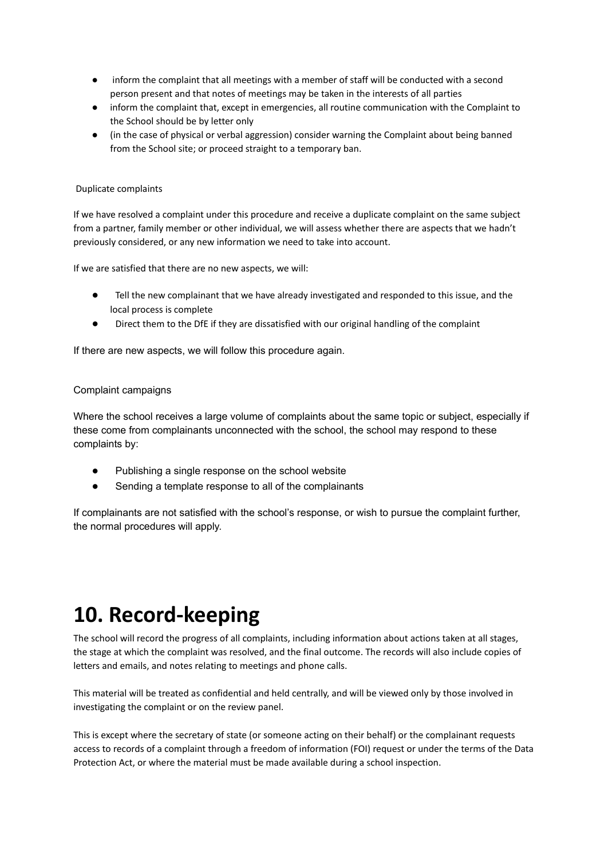- inform the complaint that all meetings with a member of staff will be conducted with a second person present and that notes of meetings may be taken in the interests of all parties
- inform the complaint that, except in emergencies, all routine communication with the Complaint to the School should be by letter only
- (in the case of physical or verbal aggression) consider warning the Complaint about being banned from the School site; or proceed straight to a temporary ban.

#### Duplicate complaints

If we have resolved a complaint under this procedure and receive a duplicate complaint on the same subject from a partner, family member or other individual, we will assess whether there are aspects that we hadn't previously considered, or any new information we need to take into account.

If we are satisfied that there are no new aspects, we will:

- Tell the new complainant that we have already investigated and responded to this issue, and the local process is complete
- Direct them to the DfE if they are dissatisfied with our original handling of the complaint

If there are new aspects, we will follow this procedure again.

### Complaint campaigns

Where the school receives a large volume of complaints about the same topic or subject, especially if these come from complainants unconnected with the school, the school may respond to these complaints by:

- Publishing a single response on the school website
- Sending a template response to all of the complainants

If complainants are not satisfied with the school's response, or wish to pursue the complaint further, the normal procedures will apply.

## **10. Record-keeping**

The school will record the progress of all complaints, including information about actions taken at all stages, the stage at which the complaint was resolved, and the final outcome. The records will also include copies of letters and emails, and notes relating to meetings and phone calls.

This material will be treated as confidential and held centrally, and will be viewed only by those involved in investigating the complaint or on the review panel.

This is except where the secretary of state (or someone acting on their behalf) or the complainant requests access to records of a complaint through a freedom of information (FOI) request or under the terms of the Data Protection Act, or where the material must be made available during a school inspection.